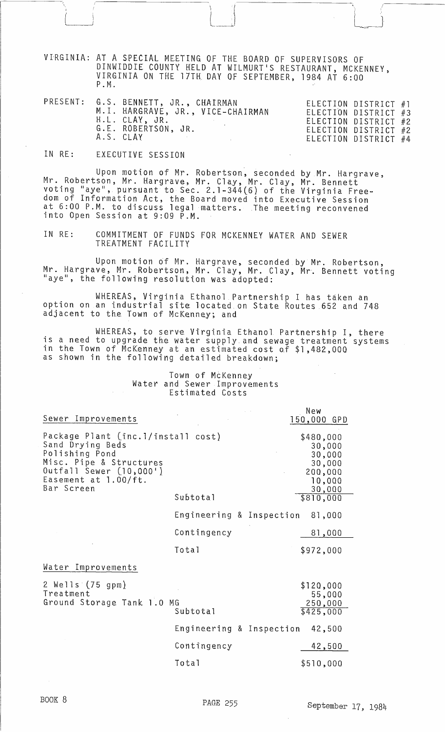VIRGINIA: AT A SPECIAL MEETING OF THE BOARD OF SUPERVISORS OF DINWIDDIE COUNTY HELD AT WILMURT'S RESTAURANT, MCKENNEY, VIRGINIA ON THE 17TH DAY OF SEPTEMBER, 1984 AT 6:00 P. M.

 $\mathcal{A} = \mathcal{A}$ 

l.~:l

|  |  | PRESENT: G.S. BENNETT, JR., CHAIRMAN<br>M.I. HARGRAVE, JR., VICE-CHAIRMAN<br>H.L. CLAY, JR.<br>G.E. ROBERTSON, JR.<br>A.S. CLAY | ELECTION DISTRICT #3<br>ELECTION DISTRICT #2<br>ELECTION DISTRICT #2 | ELECTION DISTRICT #1<br>ELECTION DISTRICT #4 |  |
|--|--|---------------------------------------------------------------------------------------------------------------------------------|----------------------------------------------------------------------|----------------------------------------------|--|
|--|--|---------------------------------------------------------------------------------------------------------------------------------|----------------------------------------------------------------------|----------------------------------------------|--|

## IN RE: EXECUTIVE SESSION

 $\mathbf{r}$ '----~.J

Upon motion of Mr. Robertson, seconded by Mr. Hargrave,<br>Mr. Robertson, Mr. Hargrave, Mr. Clay, Mr. Clay, Mr. Bennett voting "aye", pursuant to Sec. 2.1-344(6) of the Virginia Freedom of Information Act, the Board moved into Executive Session at 6:00 P.M. to discuss legal matters. The meeting reconvened into Open Session at 9:09 P.M.

IN RE: COMMITMENT OF FUNDS FOR MCKENNEY WATER AND SEWER TREATMENT FACILITY

Upon motion of Mr. Hargrave. seconded by Mr. Robertson, Mr. Hargrave, Mr. Robertson, Mr. Clay, Mr. Clay, Mr. Bennett voting<br>"aye", the following resolution was adopted:

WHEREAS, Virginia Ethanol Partnership I has taken an option on an industrial site located on State Routes 652 and 748 adjacent to the Town of McKenney; and

WHEREAS, to serve Virginia Ethanol Partnership I, there is a need to upgrade the water supply and sewage treatment systems in the Town of McKenney at an estimated cost Qf \$1,482,000 as shown in the following detailed breakdown;

## Town of McKenney Water and Sewer Improvements Estimated Costs

| Sewer Improvements                                                                                                                                                   |                          | New<br>150,000 GPD                                                     |
|----------------------------------------------------------------------------------------------------------------------------------------------------------------------|--------------------------|------------------------------------------------------------------------|
| Package Plant (inc.1/install cost)<br>Sand Drying Beds<br>Polishing Pond<br>Misc. Pipe & Structures<br>0utfall Sewer (10,000')<br>Easement at 1.00/ft.<br>Bar Screen |                          | \$480,000<br>30,000<br>30,000<br>30,000<br>200,000<br>10,000<br>30,000 |
|                                                                                                                                                                      | Subtotal                 | \$810,000                                                              |
|                                                                                                                                                                      | Engineering & Inspection | 81,000                                                                 |
|                                                                                                                                                                      | Contingency              | 81,000                                                                 |
|                                                                                                                                                                      | Total                    | \$972,000                                                              |
| Water Improvements                                                                                                                                                   |                          |                                                                        |
| 2 Wells (75 gpm)<br>Treatment<br>Ground Storage Tank 1.0                                                                                                             | MG<br>Subtotal           | \$120,000<br>55,000<br>250,000<br>\$425,000                            |
|                                                                                                                                                                      | Engineering & Inspection | 42,500                                                                 |
|                                                                                                                                                                      | Contingency              | 42,500                                                                 |
|                                                                                                                                                                      | Total                    | \$510,000                                                              |
|                                                                                                                                                                      |                          |                                                                        |